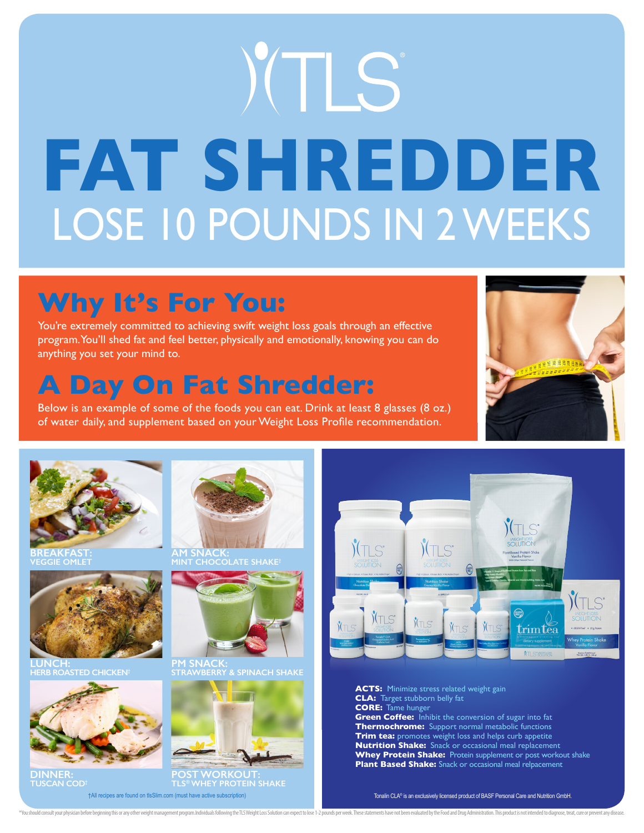# YTLS **FAT SHREDDER** LOSE 10 POUNDS IN 2 WEEKS

## **Why It's For You:**

You're extremely committed to achieving swift weight loss goals through an effective program. You'll shed fat and feel better, physically and emotionally, knowing you can do anything you set your mind to.

### **A Day On Fat Shredder:**

Below is an example of some of the foods you can eat. Drink at least 8 glasses (8 oz.) of water daily, and supplement based on your Weight Loss Profile recommendation.



**BREAKFAST:**



**LUNCH: HERB ROASTED CHICKEN†**



**DINNER: TUSCAN COD†**



**AM SNACK: MINT CHOCOLATE SHAKE†**



**PM SNACK: STRAWBERRY & SPINACH SHAKE**



\*You should consult your physician before beginning this or any other weight management program Individuals following the TI S Weight Loss Solution can expect to lose 1-2 pounds per week. These statements have not here rea

**POST WORKOUT: TLS® WHEY PROTEIN SHAKE** †All recipes are found on tlsSlim.com (must have active subscription)



**ACTS:** Minimize stress related weight gain **CLA:** Target stubborn belly fat **CORE:** Tame hunger **Green Coffee:** Inhibit the conversion of sugar into fat **Thermochrome:** Support normal metabolic functions **Trim tea:** promotes weight loss and helps curb appetite **Nutrition Shake:** Snack or occasional meal replacement **Whey Protein Shake:** Protein supplement or post workout shake **Plant Based Shake:** Snack or occasional meal relpacement

Tonalin CLA® is an exclusively licensed product of BASF Personal Care and Nutrition GmbH.